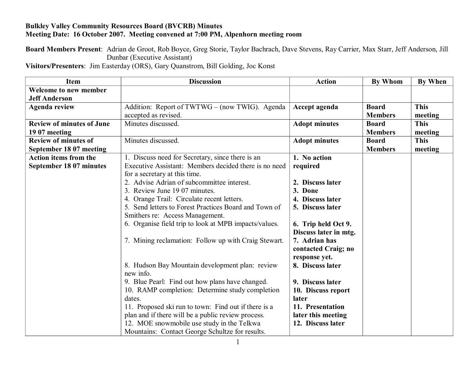## **Bulkley Valley Community Resources Board (BVCRB) Minutes Meeting Date: 16 October 2007. Meeting convened at 7:00 PM, Alpenhorn meeting room**

**Board Members Present**: Adrian de Groot, Rob Boyce, Greg Storie, Taylor Bachrach, Dave Stevens, Ray Carrier, Max Starr, Jeff Anderson, Jill Dunbar (Executive Assistant)

**Visitors/Presenters**: Jim Easterday (ORS), Gary Quanstrom, Bill Golding, Joc Konst

| <b>Item</b>                      | <b>Discussion</b>                                     | <b>Action</b>         | <b>By Whom</b> | <b>By When</b> |
|----------------------------------|-------------------------------------------------------|-----------------------|----------------|----------------|
| <b>Welcome to new member</b>     |                                                       |                       |                |                |
| <b>Jeff Anderson</b>             |                                                       |                       |                |                |
| <b>Agenda review</b>             | Addition: Report of TWTWG – (now TWIG). Agenda        | Accept agenda         | <b>Board</b>   | <b>This</b>    |
|                                  | accepted as revised.                                  |                       | <b>Members</b> | meeting        |
| <b>Review of minutes of June</b> | Minutes discussed.                                    | <b>Adopt minutes</b>  | <b>Board</b>   | <b>This</b>    |
| 19 07 meeting                    |                                                       |                       | <b>Members</b> | meeting        |
| <b>Review of minutes of</b>      | Minutes discussed.                                    | <b>Adopt minutes</b>  | <b>Board</b>   | <b>This</b>    |
| September 18 07 meeting          |                                                       |                       | <b>Members</b> | meeting        |
| <b>Action items from the</b>     | 1. Discuss need for Secretary, since there is an      | 1. No action          |                |                |
| September 18 07 minutes          | Executive Assistant: Members decided there is no need | required              |                |                |
|                                  | for a secretary at this time.                         |                       |                |                |
|                                  | 2. Advise Adrian of subcommittee interest.            | 2. Discuss later      |                |                |
|                                  | 3. Review June 19 07 minutes.                         | 3. Done               |                |                |
|                                  | 4. Orange Trail: Circulate recent letters.            | 4. Discuss later      |                |                |
|                                  | 5. Send letters to Forest Practices Board and Town of | 5. Discuss later      |                |                |
|                                  | Smithers re: Access Management.                       |                       |                |                |
|                                  | 6. Organise field trip to look at MPB impacts/values. | 6. Trip held Oct 9.   |                |                |
|                                  |                                                       | Discuss later in mtg. |                |                |
|                                  | 7. Mining reclamation: Follow up with Craig Stewart.  | 7. Adrian has         |                |                |
|                                  |                                                       | contacted Craig; no   |                |                |
|                                  |                                                       | response yet.         |                |                |
|                                  | 8. Hudson Bay Mountain development plan: review       | 8. Discuss later      |                |                |
|                                  | new info.                                             |                       |                |                |
|                                  | 9. Blue Pearl: Find out how plans have changed.       | 9. Discuss later      |                |                |
|                                  | 10. RAMP completion: Determine study completion       | 10. Discuss report    |                |                |
|                                  | dates.                                                | later                 |                |                |
|                                  | 11. Proposed ski run to town: Find out if there is a  | 11. Presentation      |                |                |
|                                  | plan and if there will be a public review process.    | later this meeting    |                |                |
|                                  | 12. MOE snowmobile use study in the Telkwa            | 12. Discuss later     |                |                |
|                                  | Mountains: Contact George Schultze for results.       |                       |                |                |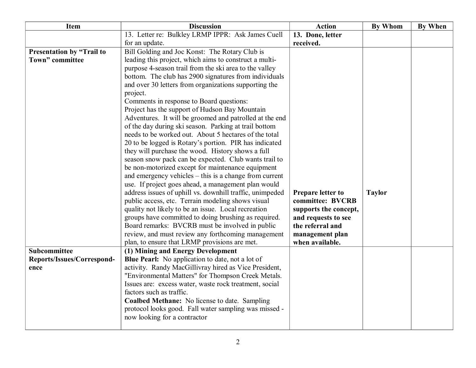| <b>Item</b>                | <b>Discussion</b>                                        | <b>Action</b>         | <b>By Whom</b> | <b>By When</b> |
|----------------------------|----------------------------------------------------------|-----------------------|----------------|----------------|
|                            | 13. Letter re: Bulkley LRMP IPPR: Ask James Cuell        | 13. Done, letter      |                |                |
|                            | for an update.                                           | received.             |                |                |
| Presentation by "Trail to  | Bill Golding and Joc Konst: The Rotary Club is           |                       |                |                |
| Town" committee            | leading this project, which aims to construct a multi-   |                       |                |                |
|                            | purpose 4-season trail from the ski area to the valley   |                       |                |                |
|                            | bottom. The club has 2900 signatures from individuals    |                       |                |                |
|                            | and over 30 letters from organizations supporting the    |                       |                |                |
|                            | project.                                                 |                       |                |                |
|                            | Comments in response to Board questions:                 |                       |                |                |
|                            | Project has the support of Hudson Bay Mountain           |                       |                |                |
|                            | Adventures. It will be groomed and patrolled at the end  |                       |                |                |
|                            | of the day during ski season. Parking at trail bottom    |                       |                |                |
|                            | needs to be worked out. About 5 hectares of the total    |                       |                |                |
|                            | 20 to be logged is Rotary's portion. PIR has indicated   |                       |                |                |
|                            | they will purchase the wood. History shows a full        |                       |                |                |
|                            | season snow pack can be expected. Club wants trail to    |                       |                |                |
|                            | be non-motorized except for maintenance equipment        |                       |                |                |
|                            | and emergency vehicles – this is a change from current   |                       |                |                |
|                            | use. If project goes ahead, a management plan would      |                       |                |                |
|                            | address issues of uphill vs. downhill traffic, unimpeded | Prepare letter to     | <b>Taylor</b>  |                |
|                            | public access, etc. Terrain modeling shows visual        | committee: BVCRB      |                |                |
|                            | quality not likely to be an issue. Local recreation      | supports the concept, |                |                |
|                            | groups have committed to doing brushing as required.     | and requests to see   |                |                |
|                            | Board remarks: BVCRB must be involved in public          | the referral and      |                |                |
|                            | review, and must review any forthcoming management       | management plan       |                |                |
|                            | plan, to ensure that LRMP provisions are met.            | when available.       |                |                |
| Subcommittee               | (1) Mining and Energy Development                        |                       |                |                |
| Reports/Issues/Correspond- | <b>Blue Pearl:</b> No application to date, not a lot of  |                       |                |                |
| ence                       | activity. Randy MacGillivray hired as Vice President,    |                       |                |                |
|                            | "Environmental Matters" for Thompson Creek Metals.       |                       |                |                |
|                            | Issues are: excess water, waste rock treatment, social   |                       |                |                |
|                            | factors such as traffic.                                 |                       |                |                |
|                            | Coalbed Methane: No license to date. Sampling            |                       |                |                |
|                            | protocol looks good. Fall water sampling was missed -    |                       |                |                |
|                            | now looking for a contractor                             |                       |                |                |
|                            |                                                          |                       |                |                |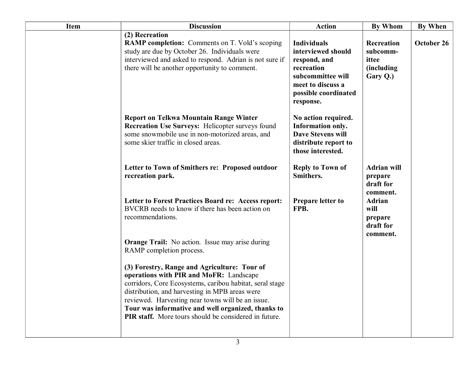| <b>Item</b> | <b>Discussion</b>                                                                                                                                                                                                                                                                                                                                                                | <b>Action</b>                                                                                                                                         | <b>By Whom</b>                                                    | <b>By When</b> |
|-------------|----------------------------------------------------------------------------------------------------------------------------------------------------------------------------------------------------------------------------------------------------------------------------------------------------------------------------------------------------------------------------------|-------------------------------------------------------------------------------------------------------------------------------------------------------|-------------------------------------------------------------------|----------------|
|             | (2) Recreation<br><b>RAMP completion:</b> Comments on T. Vold's scoping<br>study are due by October 26. Individuals were<br>interviewed and asked to respond. Adrian is not sure if<br>there will be another opportunity to comment.                                                                                                                                             | <b>Individuals</b><br>interviewed should<br>respond, and<br>recreation<br>subcommittee will<br>meet to discuss a<br>possible coordinated<br>response. | Recreation<br>subcomm-<br>ittee<br><i>(including)</i><br>Gary Q.) | October 26     |
|             | <b>Report on Telkwa Mountain Range Winter</b><br><b>Recreation Use Surveys: Helicopter surveys found</b><br>some snowmobile use in non-motorized areas, and<br>some skier traffic in closed areas.                                                                                                                                                                               | No action required.<br>Information only.<br><b>Dave Stevens will</b><br>distribute report to<br>those interested.                                     |                                                                   |                |
|             | Letter to Town of Smithers re: Proposed outdoor<br>recreation park.                                                                                                                                                                                                                                                                                                              | <b>Reply to Town of</b><br>Smithers.                                                                                                                  | <b>Adrian will</b><br>prepare<br>draft for<br>comment.            |                |
|             | Letter to Forest Practices Board re: Access report:<br>BVCRB needs to know if there has been action on<br>recommendations.                                                                                                                                                                                                                                                       | <b>Prepare letter to</b><br>FPB.                                                                                                                      | <b>Adrian</b><br>will<br>prepare<br>draft for<br>comment.         |                |
|             | <b>Orange Trail:</b> No action. Issue may arise during<br>RAMP completion process.                                                                                                                                                                                                                                                                                               |                                                                                                                                                       |                                                                   |                |
|             | (3) Forestry, Range and Agriculture: Tour of<br>operations with PIR and MoFR: Landscape<br>corridors, Core Ecosystems, caribou habitat, seral stage<br>distribution, and harvesting in MPB areas were<br>reviewed. Harvesting near towns will be an issue.<br>Tour was informative and well organized, thanks to<br><b>PIR staff.</b> More tours should be considered in future. |                                                                                                                                                       |                                                                   |                |